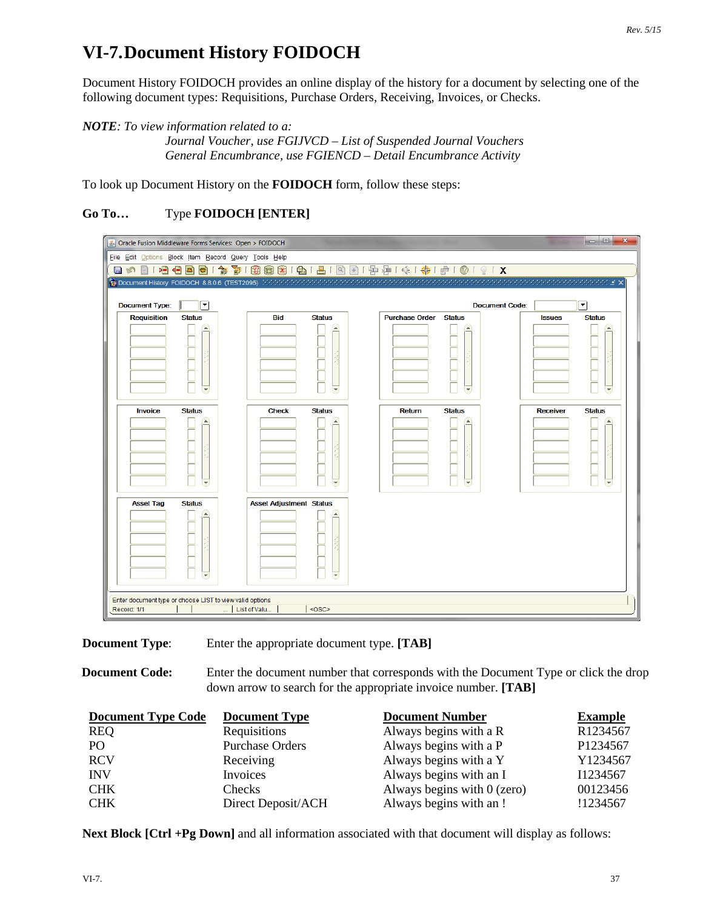## **VI-7.Document History FOIDOCH**

Document History FOIDOCH provides an online display of the history for a document by selecting one of the following document types: Requisitions, Purchase Orders, Receiving, Invoices, or Checks.

## *NOTE: To view information related to a:*

*Journal Voucher, use FGIJVCD – List of Suspended Journal Vouchers General Encumbrance, use FGIENCD – Detail Encumbrance Activity*

To look up Document History on the **FOIDOCH** form, follow these steps:

## **Go To…** Type **FOIDOCH [ENTER]**



**Document Type**: Enter the appropriate document type. **[TAB]**

**Document Code:** Enter the document number that corresponds with the Document Type or click the drop down arrow to search for the appropriate invoice number. **[TAB]**

| <b>Document Type Code</b> | <b>Document Type</b>   | <b>Document Number</b>        | <b>Example</b> |
|---------------------------|------------------------|-------------------------------|----------------|
| <b>REQ</b>                | Requisitions           | Always begins with a R        | R1234567       |
| P <sub>O</sub>            | <b>Purchase Orders</b> | Always begins with a P        | P1234567       |
| <b>RCV</b>                | Receiving              | Always begins with a Y        | Y1234567       |
| <b>INV</b>                | Invoices               | Always begins with an I       | I1234567       |
| <b>CHK</b>                | <b>Checks</b>          | Always begins with $0$ (zero) | 00123456       |
| <b>CHK</b>                | Direct Deposit/ACH     | Always begins with an!        | !1234567       |

**Next Block [Ctrl +Pg Down]** and all information associated with that document will display as follows: